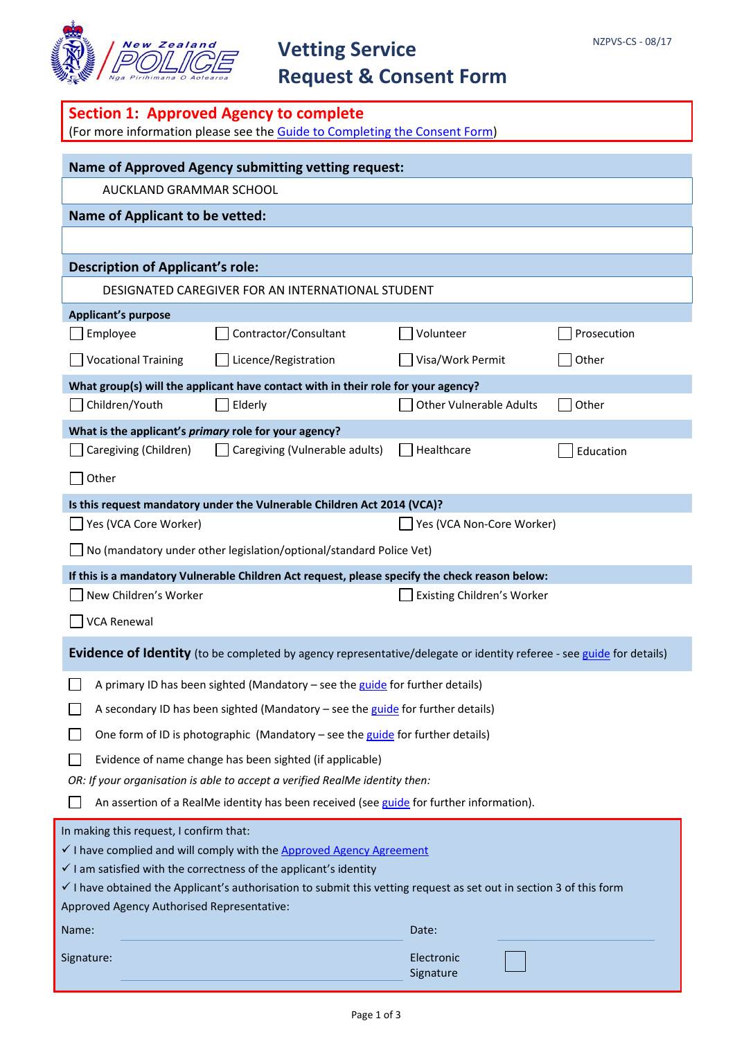

# **Vetting Service Request & Consent Form**

| Section 1: Approved Agency to complete<br>(For more information please see the Guide to Completing the Consent Form)                                                                                           |                                |             |  |  |
|----------------------------------------------------------------------------------------------------------------------------------------------------------------------------------------------------------------|--------------------------------|-------------|--|--|
|                                                                                                                                                                                                                |                                |             |  |  |
| <b>Name of Approved Agency submitting vetting request:</b><br>AUCKLAND GRAMMAR SCHOOL                                                                                                                          |                                |             |  |  |
| <b>Name of Applicant to be vetted:</b>                                                                                                                                                                         |                                |             |  |  |
|                                                                                                                                                                                                                |                                |             |  |  |
| <b>Description of Applicant's role:</b>                                                                                                                                                                        |                                |             |  |  |
| DESIGNATED CAREGIVER FOR AN INTERNATIONAL STUDENT                                                                                                                                                              |                                |             |  |  |
| <b>Applicant's purpose</b>                                                                                                                                                                                     |                                |             |  |  |
| Contractor/Consultant<br>Employee                                                                                                                                                                              | Volunteer                      | Prosecution |  |  |
| Licence/Registration<br><b>Vocational Training</b>                                                                                                                                                             | Visa/Work Permit               | Other       |  |  |
| What group(s) will the applicant have contact with in their role for your agency?                                                                                                                              |                                |             |  |  |
| Children/Youth<br>Elderly                                                                                                                                                                                      | <b>Other Vulnerable Adults</b> | Other       |  |  |
| What is the applicant's primary role for your agency?                                                                                                                                                          | Healthcare                     |             |  |  |
| Caregiving (Children)<br>Caregiving (Vulnerable adults)                                                                                                                                                        |                                | Education   |  |  |
| Other                                                                                                                                                                                                          |                                |             |  |  |
| Is this request mandatory under the Vulnerable Children Act 2014 (VCA)?                                                                                                                                        |                                |             |  |  |
| Yes (VCA Core Worker)                                                                                                                                                                                          | Yes (VCA Non-Core Worker)      |             |  |  |
| No (mandatory under other legislation/optional/standard Police Vet)                                                                                                                                            |                                |             |  |  |
| If this is a mandatory Vulnerable Children Act request, please specify the check reason below:<br>New Children's Worker                                                                                        | Existing Children's Worker     |             |  |  |
| <b>VCA Renewal</b>                                                                                                                                                                                             |                                |             |  |  |
|                                                                                                                                                                                                                |                                |             |  |  |
| Evidence of Identity (to be completed by agency representative/delegate or identity referee - see guide for details)                                                                                           |                                |             |  |  |
| A primary ID has been sighted (Mandatory - see the guide for further details)                                                                                                                                  |                                |             |  |  |
| A secondary ID has been sighted (Mandatory - see the guide for further details)                                                                                                                                |                                |             |  |  |
| One form of ID is photographic (Mandatory - see the guide for further details)                                                                                                                                 |                                |             |  |  |
| Evidence of name change has been sighted (if applicable)                                                                                                                                                       |                                |             |  |  |
| OR: If your organisation is able to accept a verified RealMe identity then:                                                                                                                                    |                                |             |  |  |
| An assertion of a RealMe identity has been received (see guide for further information).                                                                                                                       |                                |             |  |  |
| In making this request, I confirm that:                                                                                                                                                                        |                                |             |  |  |
| I have complied and will comply with the Approved Agency Agreement                                                                                                                                             |                                |             |  |  |
| $\checkmark$ I am satisfied with the correctness of the applicant's identity<br>$\checkmark$ I have obtained the Applicant's authorisation to submit this vetting request as set out in section 3 of this form |                                |             |  |  |
| Approved Agency Authorised Representative:                                                                                                                                                                     |                                |             |  |  |
| Name:                                                                                                                                                                                                          | Date:                          |             |  |  |
| Signature:                                                                                                                                                                                                     | Electronic<br>Signature        |             |  |  |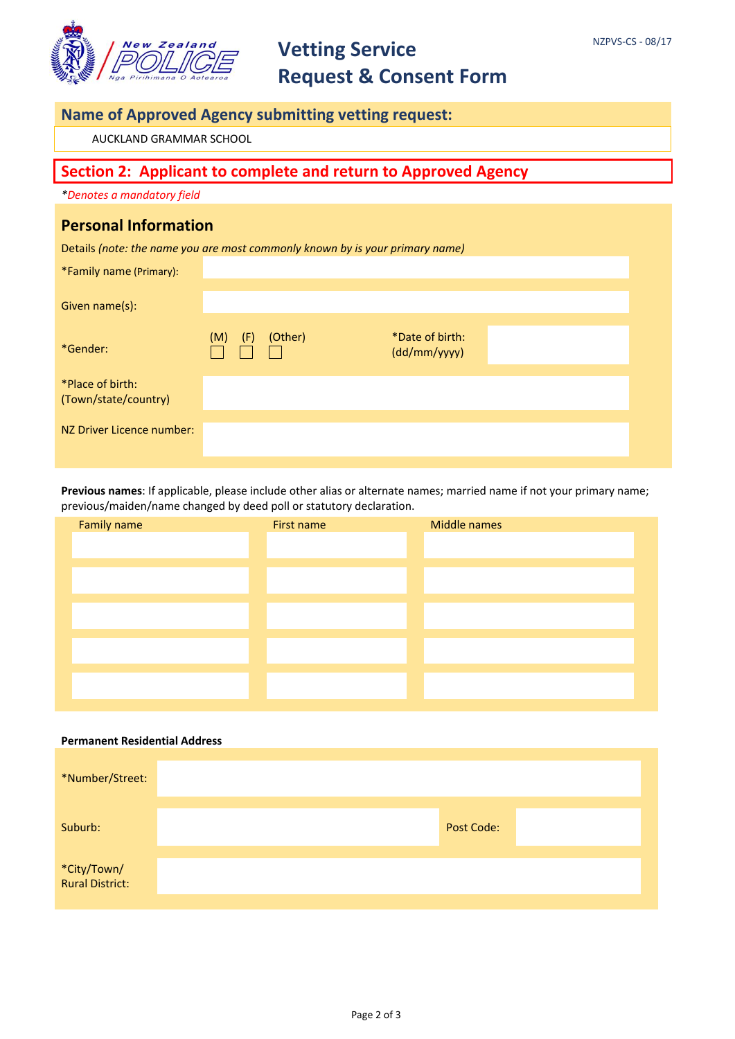

## **Vetting Service Request & Consent Form**

### **Name of Approved Agency submitting vetting request:**

AUCKLAND GRAMMAR SCHOOL

### **Section 2: Applicant to complete and return to Approved Agency**

*\*Denotes a mandatory field*

#### **Personal Information**

Details *(note: the name you are most commonly known by is your primary name)*

| *Family name (Primary):                  |            |         |                                 |  |
|------------------------------------------|------------|---------|---------------------------------|--|
| Given name(s):                           |            |         |                                 |  |
| *Gender:                                 | (M)<br>(F) | (Other) | *Date of birth:<br>(dd/mm/yyyy) |  |
| *Place of birth:<br>(Town/state/country) |            |         |                                 |  |
| NZ Driver Licence number:                |            |         |                                 |  |

**Previous names**: If applicable, please include other alias or alternate names; married name if not your primary name; previous/maiden/name changed by deed poll or statutory declaration.

| Family name | First name | Middle names |
|-------------|------------|--------------|
|             |            |              |
|             |            |              |
|             |            |              |
|             |            |              |
|             |            |              |
|             |            |              |
|             |            |              |
|             |            |              |
|             |            |              |
|             |            |              |

## **Permanent Residential Address**

| *Number/Street:                |                   |  |
|--------------------------------|-------------------|--|
| Suburb:                        | <b>Post Code:</b> |  |
| *City/Town/<br>Rural District: |                   |  |